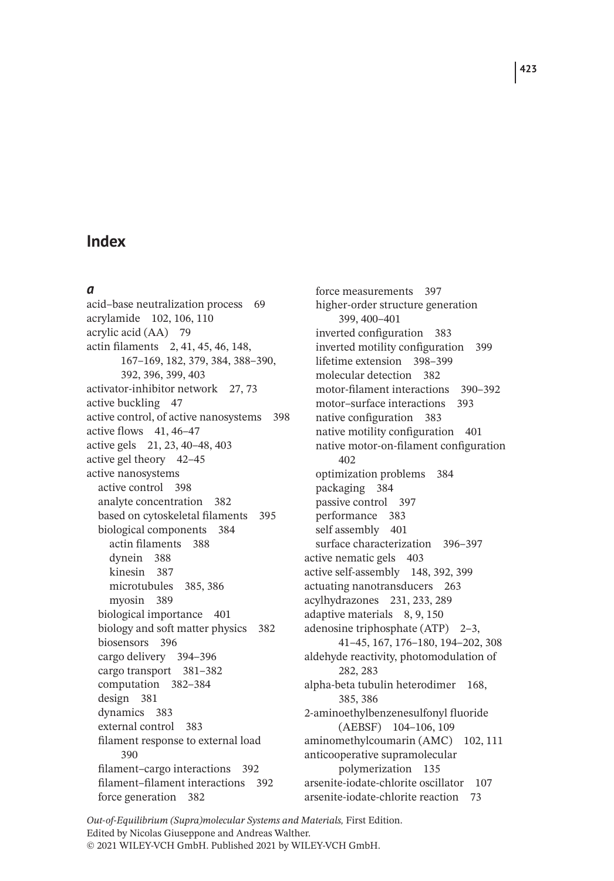#### *a*

acid–base neutralization process 69 acrylamide 102, 106, 110 acrylic acid (AA) 79 actin filaments 2, 41, 45, 46, 148, 167–169, 182, 379, 384, 388–390, 392, 396, 399, 403 activator-inhibitor network 27, 73 active buckling 47 active control, of active nanosystems 398 active flows 41, 46–47 active gels 21, 23, 40–48, 403 active gel theory 42–45 active nanosystems active control 398 analyte concentration 382 based on cytoskeletal filaments 395 biological components 384 actin filaments 388 dynein 388 kinesin 387 microtubules 385, 386 myosin 389 biological importance 401 biology and soft matter physics 382 biosensors 396 cargo delivery 394–396 cargo transport 381–382 computation 382–384 design 381 dynamics 383 external control 383 filament response to external load 390 filament–cargo interactions 392 filament–filament interactions 392 force generation 382

force measurements 397 higher-order structure generation 399, 400–401 inverted configuration 383 inverted motility configuration 399 lifetime extension 398–399 molecular detection 382 motor-filament interactions 390–392 motor–surface interactions 393 native configuration 383 native motility configuration 401 native motor-on-filament configuration 402 optimization problems 384 packaging 384 passive control 397 performance 383 self assembly 401 surface characterization 396–397 active nematic gels 403 active self-assembly 148, 392, 399 actuating nanotransducers 263 acylhydrazones 231, 233, 289 adaptive materials 8, 9, 150 adenosine triphosphate (ATP) 2–3, 41–45, 167, 176–180, 194–202, 308 aldehyde reactivity, photomodulation of 282, 283 alpha-beta tubulin heterodimer 168, 385, 386 2-aminoethylbenzenesulfonyl fluoride (AEBSF) 104–106, 109 aminomethylcoumarin (AMC) 102, 111 anticooperative supramolecular polymerization 135 arsenite-iodate-chlorite oscillator 107 arsenite-iodate-chlorite reaction 73

*Out-of-Equilibrium (Supra)molecular Systems and Materials,* First Edition. Edited by Nicolas Giuseppone and Andreas Walther. © 2021 WILEY-VCH GmbH. Published 2021 by WILEY-VCH GmbH.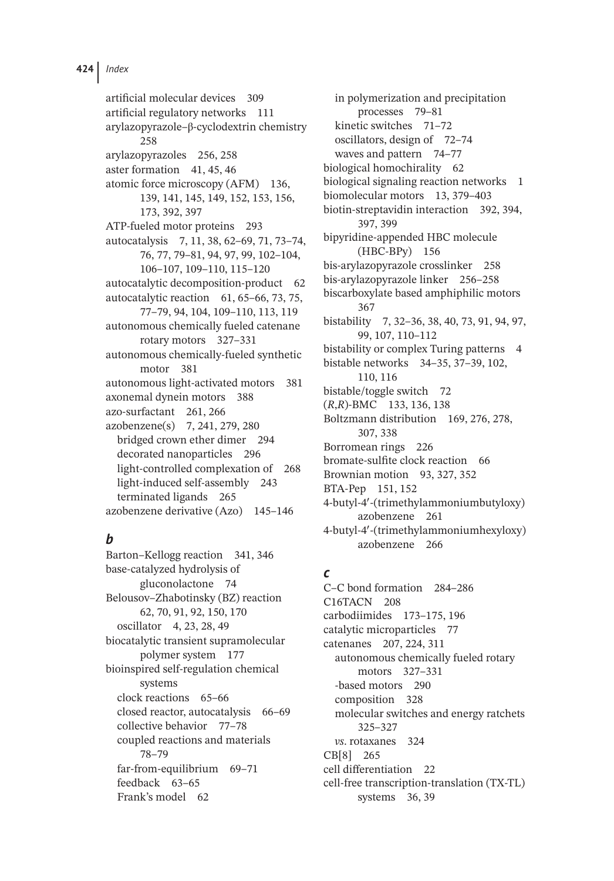artificial molecular devices 309 artificial regulatory networks 111 arylazopyrazole–β-cyclodextrin chemistry 258 arylazopyrazoles 256, 258 aster formation 41, 45, 46 atomic force microscopy (AFM) 136, 139, 141, 145, 149, 152, 153, 156, 173, 392, 397 ATP-fueled motor proteins 293 autocatalysis 7, 11, 38, 62–69, 71, 73–74, 76, 77, 79–81, 94, 97, 99, 102–104, 106–107, 109–110, 115–120 autocatalytic decomposition-product 62 autocatalytic reaction 61, 65–66, 73, 75, 77–79, 94, 104, 109–110, 113, 119 autonomous chemically fueled catenane rotary motors 327–331 autonomous chemically-fueled synthetic motor 381 autonomous light-activated motors 381 axonemal dynein motors 388 azo-surfactant 261, 266 azobenzene(s) 7, 241, 279, 280 bridged crown ether dimer 294 decorated nanoparticles 296 light-controlled complexation of 268 light-induced self-assembly 243 terminated ligands 265 azobenzene derivative (Azo) 145–146

## *b*

Barton–Kellogg reaction 341, 346 base-catalyzed hydrolysis of gluconolactone 74 Belousov–Zhabotinsky (BZ) reaction 62, 70, 91, 92, 150, 170 oscillator 4, 23, 28, 49 biocatalytic transient supramolecular polymer system 177 bioinspired self-regulation chemical systems clock reactions 65–66 closed reactor, autocatalysis 66–69 collective behavior 77–78 coupled reactions and materials 78–79 far-from-equilibrium 69–71 feedback 63–65 Frank's model 62

in polymerization and precipitation processes 79–81 kinetic switches 71–72 oscillators, design of 72–74 waves and pattern 74–77 biological homochirality 62 biological signaling reaction networks 1 biomolecular motors 13, 379–403 biotin-streptavidin interaction 392, 394, 397, 399 bipyridine-appended HBC molecule (HBC-BPy) 156 bis-arylazopyrazole crosslinker 258 bis-arylazopyrazole linker 256–258 biscarboxylate based amphiphilic motors 367 bistability 7, 32–36, 38, 40, 73, 91, 94, 97, 99, 107, 110–112 bistability or complex Turing patterns 4 bistable networks 34–35, 37–39, 102, 110, 116 bistable/toggle switch 72 (*R*,*R*)-BMC 133, 136, 138 Boltzmann distribution 169, 276, 278, 307, 338 Borromean rings 226 bromate-sulfite clock reaction 66 Brownian motion 93, 327, 352 BTA-Pep 151, 152 4-butyl-4′ -(trimethylammoniumbutyloxy) azobenzene 261 4-butyl-4′ -(trimethylammoniumhexyloxy) azobenzene 266

## *c*

C–C bond formation 284–286 C16TACN 208 carbodiimides 173–175, 196 catalytic microparticles 77 catenanes 207, 224, 311 autonomous chemically fueled rotary motors 327–331 -based motors 290 composition 328 molecular switches and energy ratchets 325–327 *vs*. rotaxanes 324 CB[8] 265 cell differentiation 22 cell-free transcription-translation (TX-TL) systems 36, 39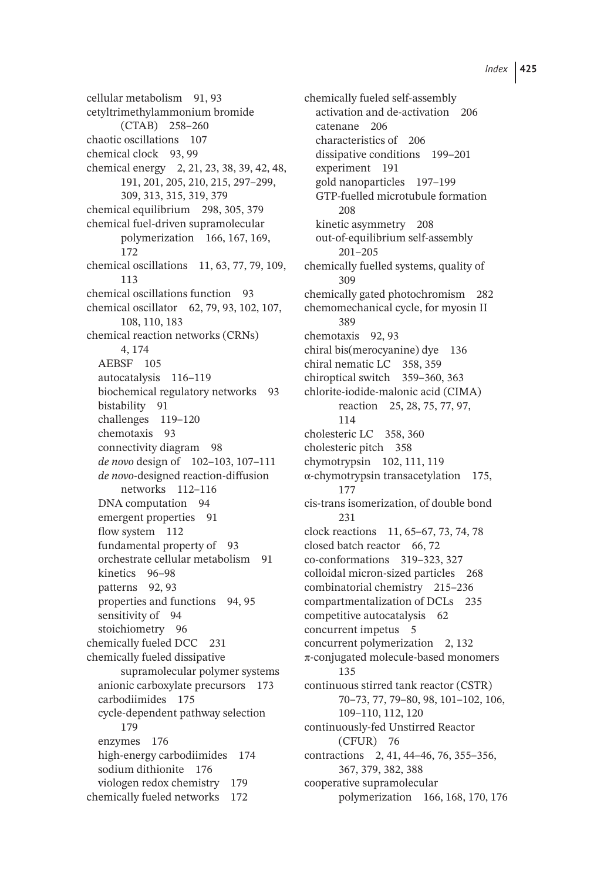cellular metabolism 91, 93 cetyltrimethylammonium bromide (CTAB) 258–260 chaotic oscillations 107 chemical clock 93, 99 chemical energy 2, 21, 23, 38, 39, 42, 48, 191, 201, 205, 210, 215, 297–299, 309, 313, 315, 319, 379 chemical equilibrium 298, 305, 379 chemical fuel-driven supramolecular polymerization 166, 167, 169, 172 chemical oscillations 11, 63, 77, 79, 109, 113 chemical oscillations function 93 chemical oscillator 62, 79, 93, 102, 107, 108, 110, 183 chemical reaction networks (CRNs) 4, 174 AEBSF 105 autocatalysis 116–119 biochemical regulatory networks 93 bistability 91 challenges 119–120 chemotaxis 93 connectivity diagram 98 *de novo* design of 102–103, 107–111 *de novo*-designed reaction-diffusion networks 112–116 DNA computation 94 emergent properties 91 flow system 112 fundamental property of 93 orchestrate cellular metabolism 91 kinetics 96–98 patterns 92, 93 properties and functions 94, 95 sensitivity of 94 stoichiometry 96 chemically fueled DCC 231 chemically fueled dissipative supramolecular polymer systems anionic carboxylate precursors 173 carbodiimides 175 cycle-dependent pathway selection 179 enzymes 176 high-energy carbodiimides 174 sodium dithionite 176 viologen redox chemistry 179 chemically fueled networks 172

chemically fueled self-assembly activation and de-activation 206 catenane 206 characteristics of 206 dissipative conditions 199–201 experiment 191 gold nanoparticles 197–199 GTP-fuelled microtubule formation 208 kinetic asymmetry 208 out-of-equilibrium self-assembly 201–205 chemically fuelled systems, quality of 309 chemically gated photochromism 282 chemomechanical cycle, for myosin II 389 chemotaxis 92, 93 chiral bis(merocyanine) dye 136 chiral nematic LC 358, 359 chiroptical switch 359–360, 363 chlorite-iodide-malonic acid (CIMA) reaction 25, 28, 75, 77, 97, 114 cholesteric LC 358, 360 cholesteric pitch 358 chymotrypsin 102, 111, 119 α-chymotrypsin transacetylation 175, 177 cis-trans isomerization, of double bond 231 clock reactions 11, 65–67, 73, 74, 78 closed batch reactor 66, 72 co-conformations 319–323, 327 colloidal micron-sized particles 268 combinatorial chemistry 215–236 compartmentalization of DCLs 235 competitive autocatalysis 62 concurrent impetus 5 concurrent polymerization 2, 132 π-conjugated molecule-based monomers 135 continuous stirred tank reactor (CSTR) 70–73, 77, 79–80, 98, 101–102, 106, 109–110, 112, 120 continuously-fed Unstirred Reactor (CFUR) 76 contractions 2, 41, 44–46, 76, 355–356, 367, 379, 382, 388 cooperative supramolecular polymerization 166, 168, 170, 176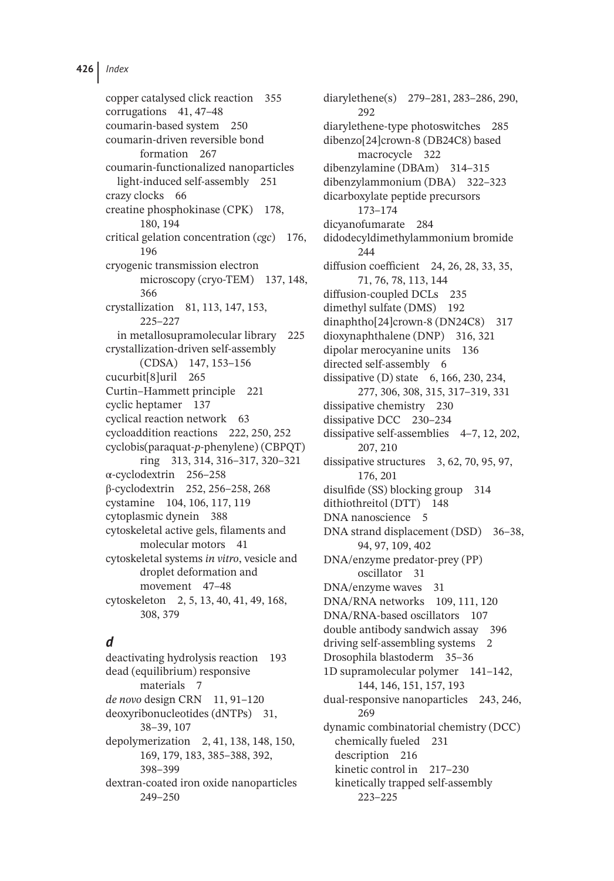copper catalysed click reaction 355 corrugations 41, 47–48 coumarin-based system 250 coumarin-driven reversible bond formation 267 coumarin-functionalized nanoparticles light-induced self-assembly 251 crazy clocks 66 creatine phosphokinase (CPK) 178, 180, 194 critical gelation concentration (*cgc*) 176, 196 cryogenic transmission electron microscopy (cryo-TEM) 137, 148, 366 crystallization 81, 113, 147, 153, 225–227 in metallosupramolecular library 225 crystallization-driven self-assembly (CDSA) 147, 153–156 cucurbit[8]uril 265 Curtin–Hammett principle 221 cyclic heptamer 137 cyclical reaction network 63 cycloaddition reactions 222, 250, 252 cyclobis(paraquat-*p*-phenylene) (CBPQT) ring 313, 314, 316–317, 320–321 α-cyclodextrin 256–258 β-cyclodextrin 252, 256–258, 268 cystamine 104, 106, 117, 119 cytoplasmic dynein 388 cytoskeletal active gels, filaments and molecular motors 41 cytoskeletal systems *in vitro*, vesicle and droplet deformation and movement 47–48 cytoskeleton 2, 5, 13, 40, 41, 49, 168, 308, 379

## *d*

deactivating hydrolysis reaction 193 dead (equilibrium) responsive materials 7 *de novo* design CRN 11, 91–120 deoxyribonucleotides (dNTPs) 31, 38–39, 107 depolymerization 2, 41, 138, 148, 150, 169, 179, 183, 385–388, 392, 398–399 dextran-coated iron oxide nanoparticles 249–250

diarylethene(s) 279–281, 283–286, 290, 292 diarylethene-type photoswitches 285 dibenzo[24]crown-8 (DB24C8) based macrocycle 322 dibenzylamine (DBAm) 314–315 dibenzylammonium (DBA) 322–323 dicarboxylate peptide precursors 173–174 dicyanofumarate 284 didodecyldimethylammonium bromide 244 diffusion coefficient 24, 26, 28, 33, 35, 71, 76, 78, 113, 144 diffusion-coupled DCLs 235 dimethyl sulfate (DMS) 192 dinaphtho[24]crown-8 (DN24C8) 317 dioxynaphthalene (DNP) 316, 321 dipolar merocyanine units 136 directed self-assembly 6 dissipative (D) state 6, 166, 230, 234, 277, 306, 308, 315, 317–319, 331 dissipative chemistry 230 dissipative DCC 230–234 dissipative self-assemblies 4–7, 12, 202, 207, 210 dissipative structures 3, 62, 70, 95, 97, 176, 201 disulfide (SS) blocking group 314 dithiothreitol (DTT) 148 DNA nanoscience 5 DNA strand displacement (DSD) 36–38, 94, 97, 109, 402 DNA/enzyme predator-prey (PP) oscillator 31 DNA/enzyme waves 31 DNA/RNA networks 109, 111, 120 DNA/RNA-based oscillators 107 double antibody sandwich assay 396 driving self-assembling systems 2 Drosophila blastoderm 35–36 1D supramolecular polymer 141–142, 144, 146, 151, 157, 193 dual-responsive nanoparticles 243, 246, 269 dynamic combinatorial chemistry (DCC) chemically fueled 231 description 216 kinetic control in 217–230 kinetically trapped self-assembly 223–225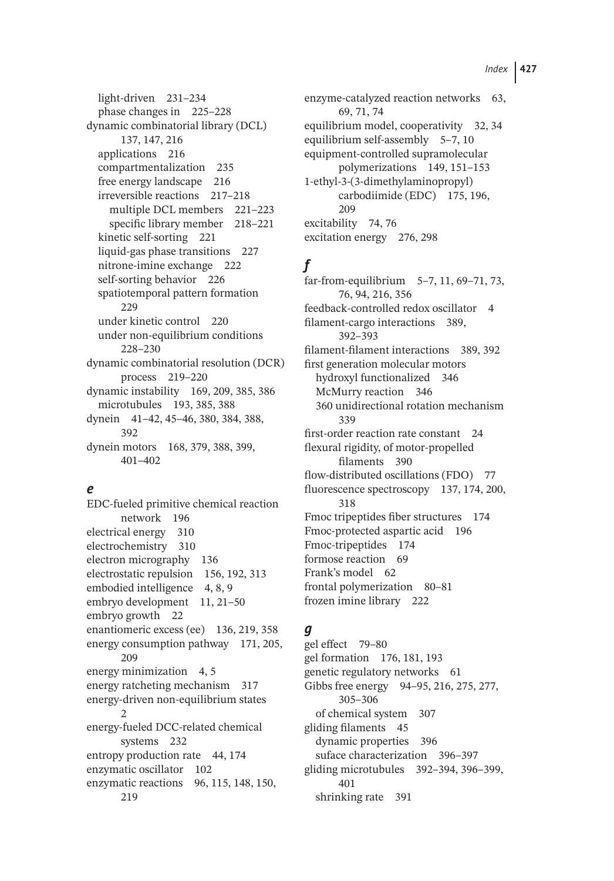light-driven 231–234 phase changes in 225–228 dynamic combinatorial library (DCL) 137, 147, 216 applications 216 compartmentalization 235 free energy landscape 216 irreversible reactions 217–218 multiple DCL members 221–223 specific library member 218–221 kinetic self-sorting 221 liquid-gas phase transitions 227 nitrone-imine exchange 222 self-sorting behavior 226 spatiotemporal pattern formation 229 under kinetic control 220 under non-equilibrium conditions 228–230 dynamic combinatorial resolution (DCR) process 219–220 dynamic instability 169, 209, 385, 386 microtubules 193, 385, 388 dynein 41–42, 45–46, 380, 384, 388, 392 dynein motors 168, 379, 388, 399, 401–402

### *e*

EDC-fueled primitive chemical reaction network 196 electrical energy 310 electrochemistry 310 electron micrography 136 electrostatic repulsion 156, 192, 313 embodied intelligence 4, 8, 9 embryo development 11, 21–50 embryo growth 22 enantiomeric excess (ee) 136, 219, 358 energy consumption pathway 171, 205, 209 energy minimization 4, 5 energy ratcheting mechanism 317 energy-driven non-equilibrium states 2 energy-fueled DCC-related chemical systems 232 entropy production rate 44, 174 enzymatic oscillator 102 enzymatic reactions 96, 115, 148, 150, 219

enzyme-catalyzed reaction networks 63, 69, 71, 74 equilibrium model, cooperativity 32, 34 equilibrium self-assembly 5–7, 10 equipment-controlled supramolecular polymerizations 149, 151–153 1-ethyl-3-(3-dimethylaminopropyl) carbodiimide (EDC) 175, 196, 209 excitability 74, 76 excitation energy 276, 298

## *f*

far-from-equilibrium 5–7, 11, 69–71, 73, 76, 94, 216, 356 feedback-controlled redox oscillator 4 filament-cargo interactions 389, 392–393 filament-filament interactions 389, 392 first generation molecular motors hydroxyl functionalized 346 McMurry reaction 346 360 unidirectional rotation mechanism 339 first-order reaction rate constant 24 flexural rigidity, of motor-propelled filaments 390 flow-distributed oscillations (FDO) 77 fluorescence spectroscopy 137, 174, 200, 318 Fmoc tripeptides fiber structures 174 Fmoc-protected aspartic acid 196 Fmoc-tripeptides 174 formose reaction 69 Frank's model 62 frontal polymerization 80–81 frozen imine library 222

### *g*

gel effect 79–80 gel formation 176, 181, 193 genetic regulatory networks 61 Gibbs free energy 94–95, 216, 275, 277, 305–306 of chemical system 307 gliding filaments 45 dynamic properties 396 suface characterization 396–397 gliding microtubules 392–394, 396–399, 401 shrinking rate 391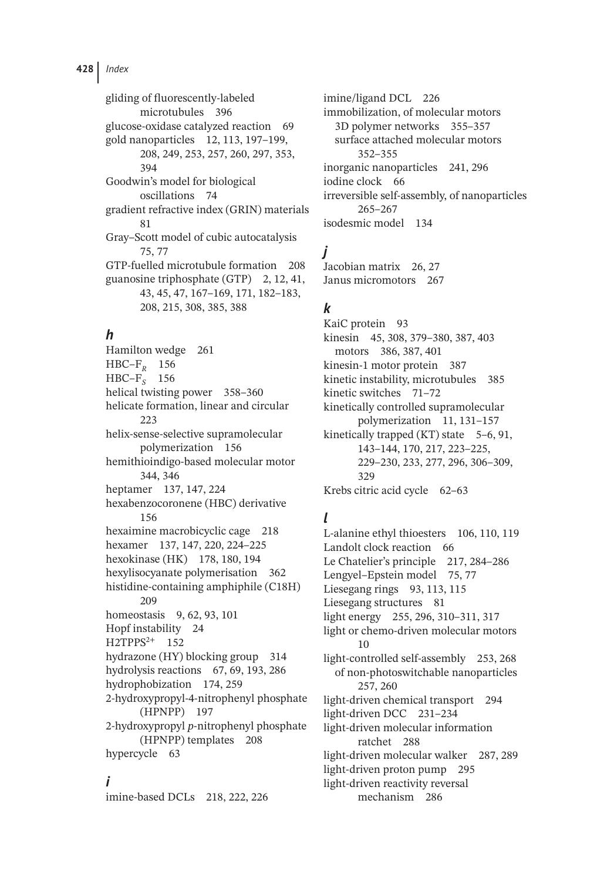**428** *Index*

gliding of fluorescently-labeled microtubules 396 glucose-oxidase catalyzed reaction 69 gold nanoparticles 12, 113, 197–199, 208, 249, 253, 257, 260, 297, 353, 394 Goodwin's model for biological oscillations 74 gradient refractive index (GRIN) materials 81 Gray–Scott model of cubic autocatalysis 75, 77 GTP-fuelled microtubule formation 208 guanosine triphosphate (GTP) 2, 12, 41, 43, 45, 47, 167–169, 171, 182–183, 208, 215, 308, 385, 388

## *h*

Hamilton wedge 261 HBC–F*<sup>R</sup>* 156 HBC–F*<sup>S</sup>* 156 helical twisting power 358–360 helicate formation, linear and circular 223 helix-sense-selective supramolecular polymerization 156 hemithioindigo-based molecular motor 344, 346 heptamer 137, 147, 224 hexabenzocoronene (HBC) derivative 156 hexaimine macrobicyclic cage 218 hexamer 137, 147, 220, 224–225 hexokinase (HK) 178, 180, 194 hexylisocyanate polymerisation 362 histidine-containing amphiphile (C18H) 209 homeostasis 9, 62, 93, 101 Hopf instability 24 H2TPPS<sup>2+</sup> 152 hydrazone (HY) blocking group 314 hydrolysis reactions 67, 69, 193, 286 hydrophobization 174, 259 2-hydroxypropyl-4-nitrophenyl phosphate (HPNPP) 197 2-hydroxypropyl *p*-nitrophenyl phosphate (HPNPP) templates 208 hypercycle 63

### *i*

imine-based DCLs 218, 222, 226

imine/ligand DCL 226 immobilization, of molecular motors 3D polymer networks 355–357 surface attached molecular motors 352–355 inorganic nanoparticles 241, 296 iodine clock 66 irreversible self-assembly, of nanoparticles 265–267 isodesmic model 134

# *j*

Jacobian matrix 26, 27 Janus micromotors 267

### *k*

KaiC protein 93 kinesin 45, 308, 379–380, 387, 403 motors 386, 387, 401 kinesin-1 motor protein 387 kinetic instability, microtubules 385 kinetic switches 71–72 kinetically controlled supramolecular polymerization 11, 131–157 kinetically trapped (KT) state 5–6, 91, 143–144, 170, 217, 223–225, 229–230, 233, 277, 296, 306–309, 329 Krebs citric acid cycle 62–63

## *l*

L-alanine ethyl thioesters 106, 110, 119 Landolt clock reaction 66 Le Chatelier's principle 217, 284–286 Lengyel–Epstein model 75, 77 Liesegang rings 93, 113, 115 Liesegang structures 81 light energy 255, 296, 310–311, 317 light or chemo-driven molecular motors  $1<sub>0</sub>$ light-controlled self-assembly 253, 268 of non-photoswitchable nanoparticles 257, 260 light-driven chemical transport 294 light-driven DCC 231–234 light-driven molecular information ratchet 288 light-driven molecular walker 287, 289 light-driven proton pump 295 light-driven reactivity reversal mechanism 286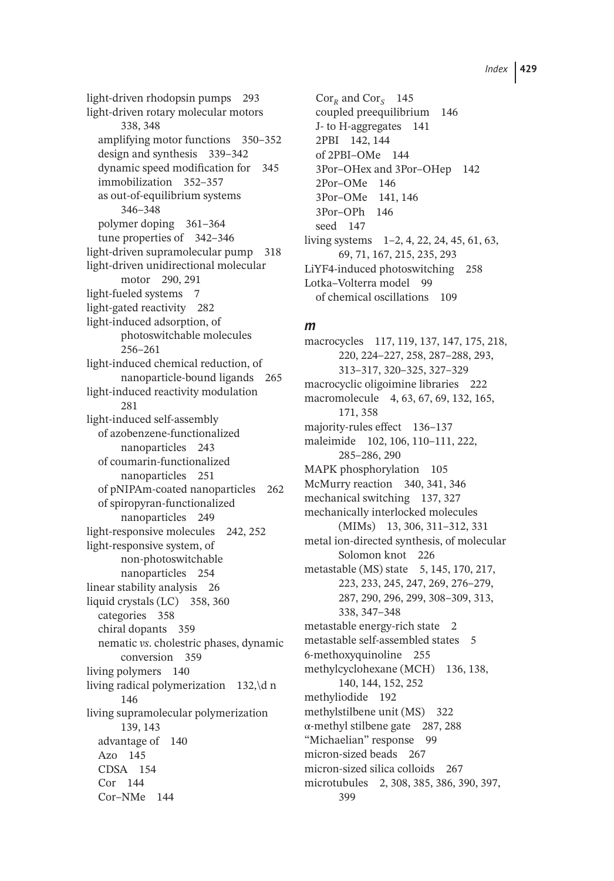light-driven rhodopsin pumps 293 light-driven rotary molecular motors 338, 348 amplifying motor functions 350–352 design and synthesis 339–342 dynamic speed modification for 345 immobilization 352–357 as out-of-equilibrium systems 346–348 polymer doping 361–364 tune properties of 342–346 light-driven supramolecular pump 318 light-driven unidirectional molecular motor 290, 291 light-fueled systems 7 light-gated reactivity 282 light-induced adsorption, of photoswitchable molecules 256–261 light-induced chemical reduction, of nanoparticle-bound ligands 265 light-induced reactivity modulation 281 light-induced self-assembly of azobenzene-functionalized nanoparticles 243 of coumarin-functionalized nanoparticles 251 of pNIPAm-coated nanoparticles 262 of spiropyran-functionalized nanoparticles 249 light-responsive molecules 242, 252 light-responsive system, of non-photoswitchable nanoparticles 254 linear stability analysis 26 liquid crystals (LC) 358, 360 categories 358 chiral dopants 359 nematic *vs*. cholestric phases, dynamic conversion 359 living polymers 140 living radical polymerization 132,\d n 146 living supramolecular polymerization 139, 143 advantage of 140 Azo 145 CDSA 154 Cor 144 Cor–NMe 144

 $Cor_R$  and  $Cor_S$  145 coupled preequilibrium 146 J- to H-aggregates 141 2PBI 142, 144 of 2PBI–OMe 144 3Por–OHex and 3Por–OHep 142 2Por–OMe 146 3Por–OMe 141, 146 3Por–OPh 146 seed 147 living systems 1–2, 4, 22, 24, 45, 61, 63, 69, 71, 167, 215, 235, 293 LiYF4-induced photoswitching 258 Lotka–Volterra model 99 of chemical oscillations 109

#### *m*

macrocycles 117, 119, 137, 147, 175, 218, 220, 224–227, 258, 287–288, 293, 313–317, 320–325, 327–329 macrocyclic oligoimine libraries 222 macromolecule 4, 63, 67, 69, 132, 165, 171, 358 majority-rules effect 136–137 maleimide 102, 106, 110–111, 222, 285–286, 290 MAPK phosphorylation 105 McMurry reaction 340, 341, 346 mechanical switching 137, 327 mechanically interlocked molecules (MIMs) 13, 306, 311–312, 331 metal ion-directed synthesis, of molecular Solomon knot 226 metastable (MS) state 5, 145, 170, 217, 223, 233, 245, 247, 269, 276–279, 287, 290, 296, 299, 308–309, 313, 338, 347–348 metastable energy-rich state 2 metastable self-assembled states 5 6-methoxyquinoline 255 methylcyclohexane (MCH) 136, 138, 140, 144, 152, 252 methyliodide 192 methylstilbene unit (MS) 322 α-methyl stilbene gate 287, 288 "Michaelian" response 99 micron-sized beads 267 micron-sized silica colloids 267 microtubules 2, 308, 385, 386, 390, 397, 399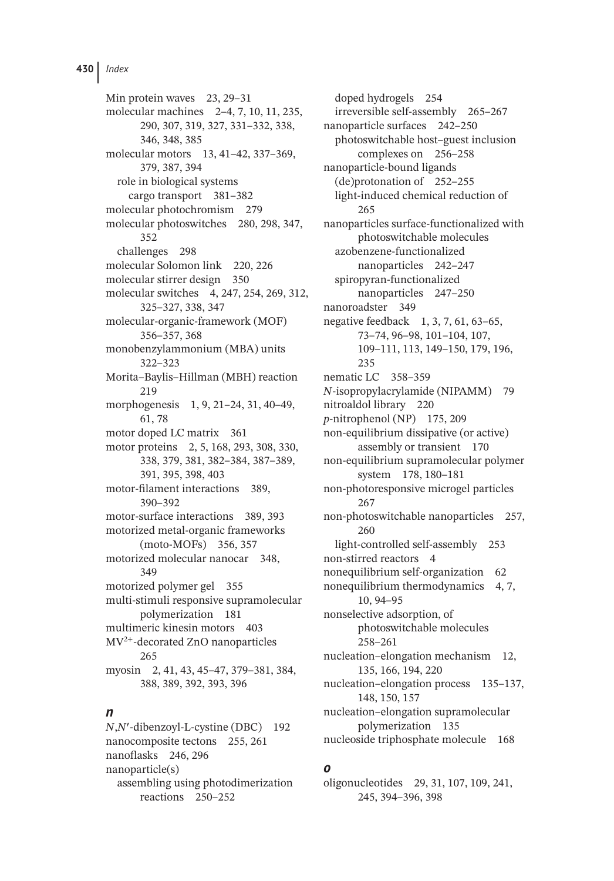Min protein waves 23, 29–31 molecular machines 2–4, 7, 10, 11, 235, 290, 307, 319, 327, 331–332, 338, 346, 348, 385 molecular motors 13, 41–42, 337–369, 379, 387, 394 role in biological systems cargo transport 381–382 molecular photochromism 279 molecular photoswitches 280, 298, 347, 352 challenges 298 molecular Solomon link 220, 226 molecular stirrer design 350 molecular switches 4, 247, 254, 269, 312, 325–327, 338, 347 molecular-organic-framework (MOF) 356–357, 368 monobenzylammonium (MBA) units 322–323 Morita–Baylis–Hillman (MBH) reaction 219 morphogenesis 1, 9, 21–24, 31, 40–49, 61, 78 motor doped LC matrix 361 motor proteins 2, 5, 168, 293, 308, 330, 338, 379, 381, 382–384, 387–389, 391, 395, 398, 403 motor-filament interactions 389, 390–392 motor-surface interactions 389, 393 motorized metal-organic frameworks (moto-MOFs) 356, 357 motorized molecular nanocar 348, 349 motorized polymer gel 355 multi-stimuli responsive supramolecular polymerization 181 multimeric kinesin motors 403 MV2<sup>+</sup>-decorated ZnO nanoparticles 265 myosin 2, 41, 43, 45–47, 379–381, 384, 388, 389, 392, 393, 396

#### *n*

*N*,*N*′ -dibenzoyl-L-cystine (DBC) 192 nanocomposite tectons 255, 261 nanoflasks 246, 296 nanoparticle(s) assembling using photodimerization reactions 250–252

doped hydrogels 254 irreversible self-assembly 265–267 nanoparticle surfaces 242–250 photoswitchable host–guest inclusion complexes on 256–258 nanoparticle-bound ligands (de)protonation of 252–255 light-induced chemical reduction of 265 nanoparticles surface-functionalized with photoswitchable molecules azobenzene-functionalized nanoparticles 242–247 spiropyran-functionalized nanoparticles 247–250 nanoroadster 349 negative feedback 1, 3, 7, 61, 63–65, 73–74, 96–98, 101–104, 107, 109–111, 113, 149–150, 179, 196, 235 nematic LC 358–359 *N*-isopropylacrylamide (NIPAMM) 79 nitroaldol library 220 *p*-nitrophenol (NP) 175, 209 non-equilibrium dissipative (or active) assembly or transient 170 non-equilibrium supramolecular polymer system 178, 180–181 non-photoresponsive microgel particles 267 non-photoswitchable nanoparticles 257, 260 light-controlled self-assembly 253 non-stirred reactors 4 nonequilibrium self-organization 62 nonequilibrium thermodynamics 4, 7, 10, 94–95 nonselective adsorption, of photoswitchable molecules 258–261 nucleation–elongation mechanism 12, 135, 166, 194, 220 nucleation–elongation process 135–137, 148, 150, 157 nucleation–elongation supramolecular polymerization 135 nucleoside triphosphate molecule 168

## *o*

oligonucleotides 29, 31, 107, 109, 241, 245, 394–396, 398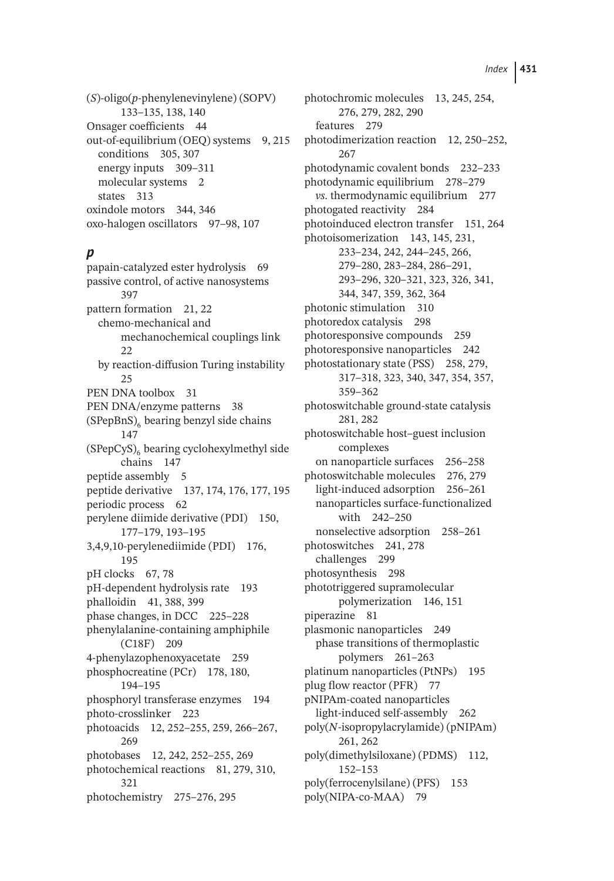(*S*)-oligo(*p*-phenylenevinylene) (SOPV) 133–135, 138, 140 Onsager coefficients 44 out-of-equilibrium (OEQ) systems 9, 215 conditions 305, 307 energy inputs 309–311 molecular systems 2 states 313 oxindole motors 344, 346 oxo-halogen oscillators 97–98, 107

#### *p*

papain-catalyzed ester hydrolysis 69 passive control, of active nanosystems 397 pattern formation 21, 22 chemo-mechanical and mechanochemical couplings link 22 by reaction-diffusion Turing instability 25 PEN DNA toolbox 31 PEN DNA/enzyme patterns 38  $(SPepBnS)$ <sub>6</sub> bearing benzyl side chains 147  $(SPepCyS)$ <sub>6</sub> bearing cyclohexylmethyl side chains 147 peptide assembly 5 peptide derivative 137, 174, 176, 177, 195 periodic process 62 perylene diimide derivative (PDI) 150, 177–179, 193–195 3,4,9,10-perylenediimide (PDI) 176, 195 pH clocks 67, 78 pH-dependent hydrolysis rate 193 phalloidin 41, 388, 399 phase changes, in DCC 225–228 phenylalanine-containing amphiphile (C18F) 209 4-phenylazophenoxyacetate 259 phosphocreatine (PCr) 178, 180, 194–195 phosphoryl transferase enzymes 194 photo-crosslinker 223 photoacids 12, 252–255, 259, 266–267, 269 photobases 12, 242, 252–255, 269 photochemical reactions 81, 279, 310, 321 photochemistry 275–276, 295

photochromic molecules 13, 245, 254, 276, 279, 282, 290 features 279 photodimerization reaction 12, 250–252, 267 photodynamic covalent bonds 232–233 photodynamic equilibrium 278–279 *vs*. thermodynamic equilibrium 277 photogated reactivity 284 photoinduced electron transfer 151, 264 photoisomerization 143, 145, 231, 233–234, 242, 244–245, 266, 279–280, 283–284, 286–291, 293–296, 320–321, 323, 326, 341, 344, 347, 359, 362, 364 photonic stimulation 310 photoredox catalysis 298 photoresponsive compounds 259 photoresponsive nanoparticles 242 photostationary state (PSS) 258, 279, 317–318, 323, 340, 347, 354, 357, 359–362 photoswitchable ground-state catalysis 281, 282 photoswitchable host–guest inclusion complexes on nanoparticle surfaces 256–258 photoswitchable molecules 276, 279 light-induced adsorption 256–261 nanoparticles surface-functionalized with 242–250 nonselective adsorption 258–261 photoswitches 241, 278 challenges 299 photosynthesis 298 phototriggered supramolecular polymerization 146, 151 piperazine 81 plasmonic nanoparticles 249 phase transitions of thermoplastic polymers 261–263 platinum nanoparticles (PtNPs) 195 plug flow reactor (PFR) 77 pNIPAm-coated nanoparticles light-induced self-assembly 262 poly(*N*-isopropylacrylamide) (pNIPAm) 261, 262 poly(dimethylsiloxane) (PDMS) 112, 152–153 poly(ferrocenylsilane) (PFS) 153 poly(NIPA-co-MAA) 79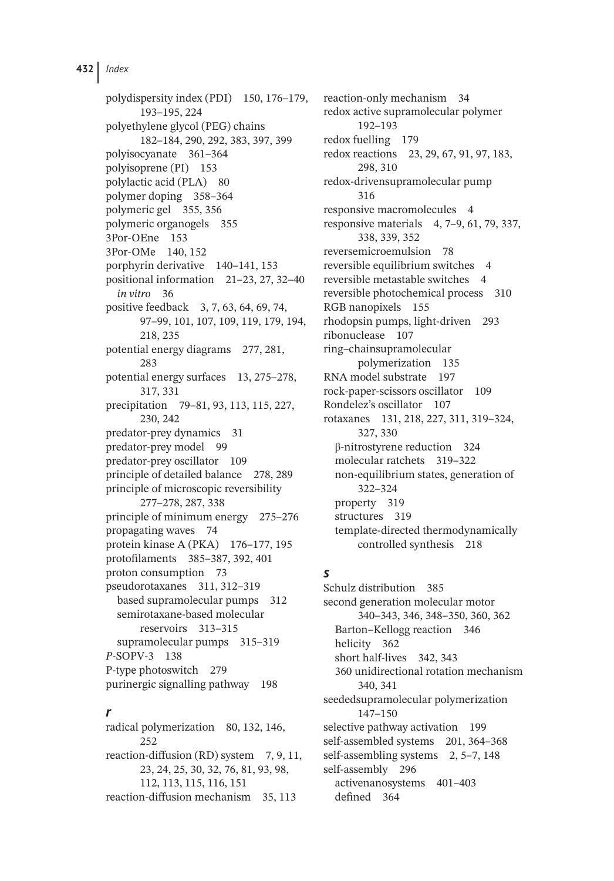polydispersity index (PDI) 150, 176–179, 193–195, 224 polyethylene glycol (PEG) chains 182–184, 290, 292, 383, 397, 399 polyisocyanate 361–364 polyisoprene (PI) 153 polylactic acid (PLA) 80 polymer doping 358–364 polymeric gel 355, 356 polymeric organogels 355 3Por-OEne 153 3Por-OMe 140, 152 porphyrin derivative 140–141, 153 positional information 21–23, 27, 32–40 *in vitro* 36 positive feedback 3, 7, 63, 64, 69, 74, 97–99, 101, 107, 109, 119, 179, 194, 218, 235 potential energy diagrams 277, 281, 283 potential energy surfaces 13, 275–278, 317, 331 precipitation 79–81, 93, 113, 115, 227, 230, 242 predator-prey dynamics 31 predator-prey model 99 predator-prey oscillator 109 principle of detailed balance 278, 289 principle of microscopic reversibility 277–278, 287, 338 principle of minimum energy 275–276 propagating waves 74 protein kinase A (PKA) 176–177, 195 protofilaments 385–387, 392, 401 proton consumption 73 pseudorotaxanes 311, 312–319 based supramolecular pumps 312 semirotaxane-based molecular reservoirs 313–315 supramolecular pumps 315–319 *P*-SOPV-3 138 P-type photoswitch 279 purinergic signalling pathway 198

#### *r*

radical polymerization 80, 132, 146, 252 reaction-diffusion (RD) system 7, 9, 11, 23, 24, 25, 30, 32, 76, 81, 93, 98, 112, 113, 115, 116, 151 reaction-diffusion mechanism 35, 113

reaction-only mechanism 34 redox active supramolecular polymer 192–193 redox fuelling 179 redox reactions 23, 29, 67, 91, 97, 183, 298, 310 redox-drivensupramolecular pump 316 responsive macromolecules 4 responsive materials 4, 7–9, 61, 79, 337, 338, 339, 352 reversemicroemulsion 78 reversible equilibrium switches 4 reversible metastable switches 4 reversible photochemical process 310 RGB nanopixels 155 rhodopsin pumps, light-driven 293 ribonuclease 107 ring–chainsupramolecular polymerization 135 RNA model substrate 197 rock-paper-scissors oscillator 109 Rondelez's oscillator 107 rotaxanes 131, 218, 227, 311, 319–324, 327, 330 β-nitrostyrene reduction 324 molecular ratchets 319–322 non-equilibrium states, generation of 322–324 property 319 structures 319 template-directed thermodynamically controlled synthesis 218

### *s*

Schulz distribution 385 second generation molecular motor 340–343, 346, 348–350, 360, 362 Barton–Kellogg reaction 346 helicity 362 short half-lives 342, 343 360 unidirectional rotation mechanism 340, 341 seededsupramolecular polymerization 147–150 selective pathway activation 199 self-assembled systems 201, 364–368 self-assembling systems 2, 5–7, 148 self-assembly 296 activenanosystems 401–403 defined 364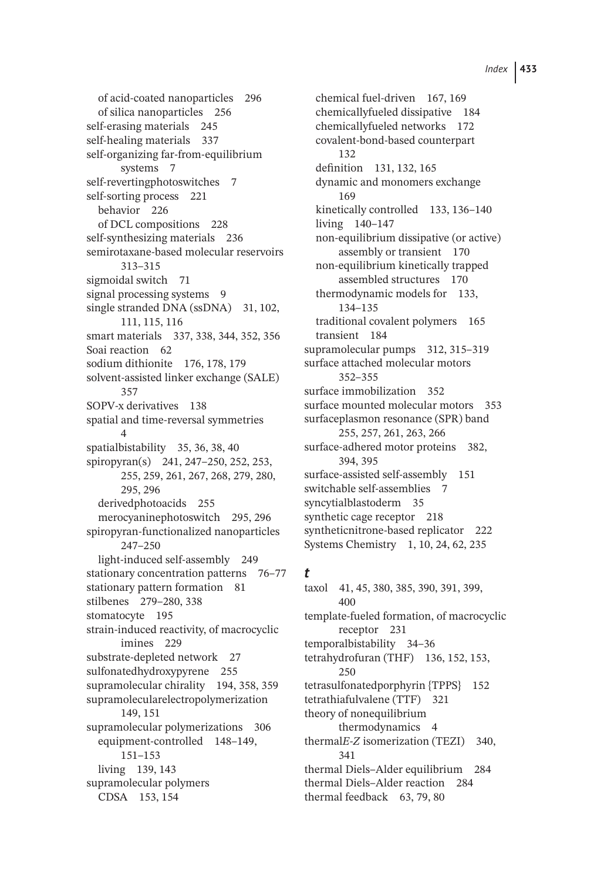of acid-coated nanoparticles 296 of silica nanoparticles 256 self-erasing materials 245 self-healing materials 337 self-organizing far-from-equilibrium systems 7 self-revertingphotoswitches 7 self-sorting process 221 behavior 226 of DCL compositions 228 self-synthesizing materials 236 semirotaxane-based molecular reservoirs 313–315 sigmoidal switch 71 signal processing systems 9 single stranded DNA (ssDNA) 31, 102, 111, 115, 116 smart materials 337, 338, 344, 352, 356 Soai reaction 62 sodium dithionite 176, 178, 179 solvent-assisted linker exchange (SALE) 357 SOPV-x derivatives 138 spatial and time-reversal symmetries  $\overline{A}$ spatialbistability 35, 36, 38, 40 spiropyran(s) 241, 247–250, 252, 253, 255, 259, 261, 267, 268, 279, 280, 295, 296 derivedphotoacids 255 merocyaninephotoswitch 295, 296 spiropyran-functionalized nanoparticles 247–250 light-induced self-assembly 249 stationary concentration patterns 76–77 stationary pattern formation 81 stilbenes 279–280, 338 stomatocyte 195 strain-induced reactivity, of macrocyclic imines 229 substrate-depleted network 27 sulfonatedhydroxypyrene 255 supramolecular chirality 194, 358, 359 supramolecularelectropolymerization 149, 151 supramolecular polymerizations 306 equipment-controlled 148–149, 151–153 living 139, 143 supramolecular polymers CDSA 153, 154

chemical fuel-driven 167, 169 chemicallyfueled dissipative 184 chemicallyfueled networks 172 covalent-bond-based counterpart 132 definition 131, 132, 165 dynamic and monomers exchange 169 kinetically controlled 133, 136-140 living 140–147 non-equilibrium dissipative (or active) assembly or transient 170 non-equilibrium kinetically trapped assembled structures 170 thermodynamic models for 133, 134–135 traditional covalent polymers 165 transient 184 supramolecular pumps 312, 315–319 surface attached molecular motors 352–355 surface immobilization 352 surface mounted molecular motors 353 surfaceplasmon resonance (SPR) band 255, 257, 261, 263, 266 surface-adhered motor proteins 382, 394, 395 surface-assisted self-assembly 151 switchable self-assemblies 7 syncytialblastoderm 35 synthetic cage receptor 218 syntheticnitrone-based replicator 222 Systems Chemistry 1, 10, 24, 62, 235

#### *t*

taxol 41, 45, 380, 385, 390, 391, 399, 400 template-fueled formation, of macrocyclic receptor 231 temporalbistability 34–36 tetrahydrofuran (THF) 136, 152, 153, 250 tetrasulfonatedporphyrin {TPPS} 152 tetrathiafulvalene (TTF) 321 theory of nonequilibrium thermodynamics 4 thermal*E-Z* isomerization (TEZI) 340, 341 thermal Diels–Alder equilibrium 284 thermal Diels–Alder reaction 284 thermal feedback 63, 79, 80